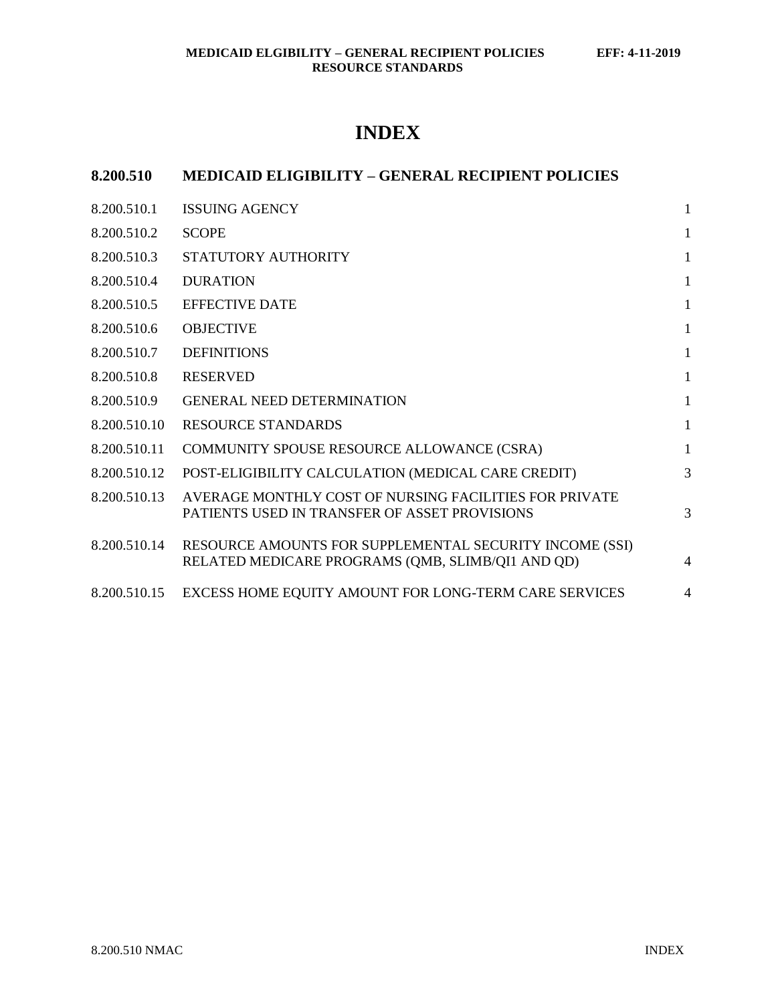# **INDEX**

## **8.200.510 MEDICAID ELIGIBILITY – GENERAL RECIPIENT POLICIES**

| 8.200.510.1  | <b>ISSUING AGENCY</b>                                                                                        | 1              |
|--------------|--------------------------------------------------------------------------------------------------------------|----------------|
| 8.200.510.2  | <b>SCOPE</b>                                                                                                 | 1              |
| 8.200.510.3  | STATUTORY AUTHORITY                                                                                          | $\mathbf{1}$   |
| 8.200.510.4  | <b>DURATION</b>                                                                                              | $\mathbf{1}$   |
| 8.200.510.5  | <b>EFFECTIVE DATE</b>                                                                                        | $\mathbf{1}$   |
| 8.200.510.6  | <b>OBJECTIVE</b>                                                                                             | $\mathbf{1}$   |
| 8.200.510.7  | <b>DEFINITIONS</b>                                                                                           | $\mathbf{1}$   |
| 8.200.510.8  | <b>RESERVED</b>                                                                                              | $\mathbf{1}$   |
| 8.200.510.9  | <b>GENERAL NEED DETERMINATION</b>                                                                            | $\mathbf{1}$   |
| 8.200.510.10 | <b>RESOURCE STANDARDS</b>                                                                                    | $\mathbf{1}$   |
| 8.200.510.11 | COMMUNITY SPOUSE RESOURCE ALLOWANCE (CSRA)                                                                   | $\mathbf{1}$   |
| 8.200.510.12 | POST-ELIGIBILITY CALCULATION (MEDICAL CARE CREDIT)                                                           | 3              |
| 8.200.510.13 | AVERAGE MONTHLY COST OF NURSING FACILITIES FOR PRIVATE<br>PATIENTS USED IN TRANSFER OF ASSET PROVISIONS      | 3              |
| 8.200.510.14 | RESOURCE AMOUNTS FOR SUPPLEMENTAL SECURITY INCOME (SSI)<br>RELATED MEDICARE PROGRAMS (QMB, SLIMB/QI1 AND QD) | $\overline{4}$ |
| 8.200.510.15 | EXCESS HOME EQUITY AMOUNT FOR LONG-TERM CARE SERVICES                                                        | $\overline{4}$ |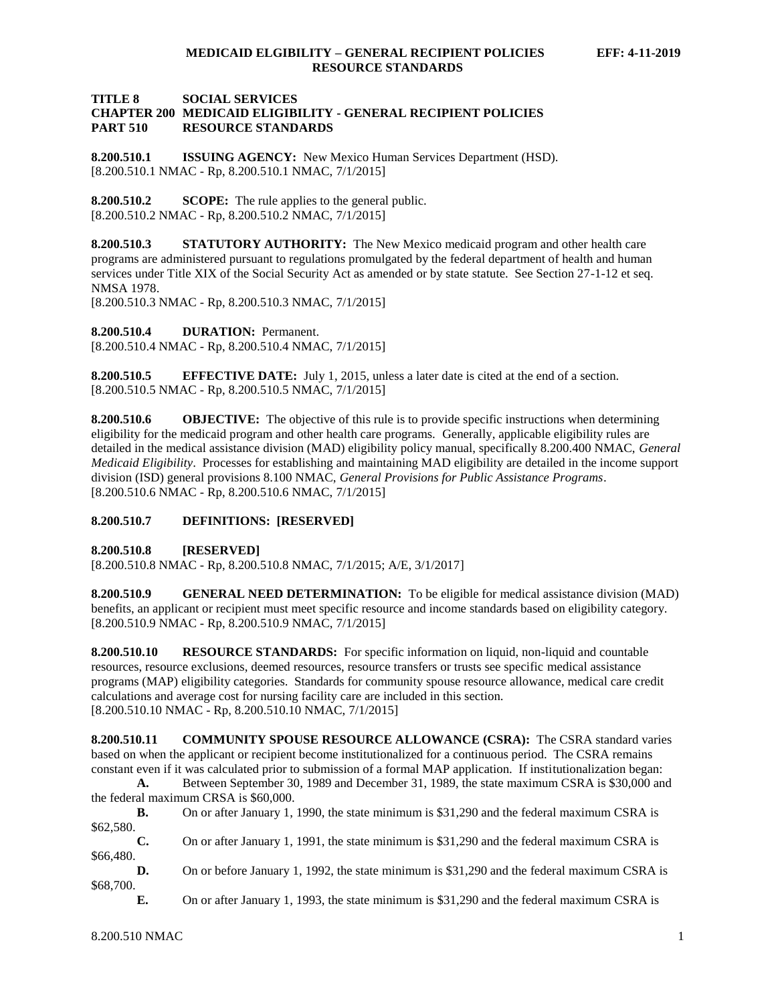#### **TITLE 8 SOCIAL SERVICES CHAPTER 200 MEDICAID ELIGIBILITY - GENERAL RECIPIENT POLICIES PART 510 RESOURCE STANDARDS**

<span id="page-1-0"></span>**8.200.510.1 ISSUING AGENCY:** New Mexico Human Services Department (HSD). [8.200.510.1 NMAC - Rp, 8.200.510.1 NMAC, 7/1/2015]

<span id="page-1-1"></span>**8.200.510.2 SCOPE:** The rule applies to the general public. [8.200.510.2 NMAC - Rp, 8.200.510.2 NMAC, 7/1/2015]

<span id="page-1-2"></span>**8.200.510.3 STATUTORY AUTHORITY:** The New Mexico medicaid program and other health care programs are administered pursuant to regulations promulgated by the federal department of health and human services under Title XIX of the Social Security Act as amended or by state statute. See Section 27-1-12 et seq. NMSA 1978.

[8.200.510.3 NMAC - Rp, 8.200.510.3 NMAC, 7/1/2015]

<span id="page-1-3"></span>**8.200.510.4 DURATION:** Permanent.

[8.200.510.4 NMAC - Rp, 8.200.510.4 NMAC, 7/1/2015]

<span id="page-1-4"></span>**8.200.510.5 EFFECTIVE DATE:** July 1, 2015, unless a later date is cited at the end of a section. [8.200.510.5 NMAC - Rp, 8.200.510.5 NMAC, 7/1/2015]

<span id="page-1-5"></span>**8.200.510.6 OBJECTIVE:** The objective of this rule is to provide specific instructions when determining eligibility for the medicaid program and other health care programs. Generally, applicable eligibility rules are detailed in the medical assistance division (MAD) eligibility policy manual, specifically 8.200.400 NMAC, *General Medicaid Eligibility*. Processes for establishing and maintaining MAD eligibility are detailed in the income support division (ISD) general provisions 8.100 NMAC, *General Provisions for Public Assistance Programs*. [8.200.510.6 NMAC - Rp, 8.200.510.6 NMAC, 7/1/2015]

#### <span id="page-1-6"></span>**8.200.510.7 DEFINITIONS: [RESERVED]**

<span id="page-1-7"></span>**8.200.510.8 [RESERVED]**

[8.200.510.8 NMAC - Rp, 8.200.510.8 NMAC, 7/1/2015; A/E, 3/1/2017]

<span id="page-1-8"></span>**8.200.510.9 GENERAL NEED DETERMINATION:** To be eligible for medical assistance division (MAD) benefits, an applicant or recipient must meet specific resource and income standards based on eligibility category. [8.200.510.9 NMAC - Rp, 8.200.510.9 NMAC, 7/1/2015]

<span id="page-1-9"></span>**8.200.510.10 RESOURCE STANDARDS:** For specific information on liquid, non-liquid and countable resources, resource exclusions, deemed resources, resource transfers or trusts see specific medical assistance programs (MAP) eligibility categories. Standards for community spouse resource allowance, medical care credit calculations and average cost for nursing facility care are included in this section. [8.200.510.10 NMAC - Rp, 8.200.510.10 NMAC, 7/1/2015]

<span id="page-1-10"></span>**8.200.510.11 COMMUNITY SPOUSE RESOURCE ALLOWANCE (CSRA):** The CSRA standard varies based on when the applicant or recipient become institutionalized for a continuous period. The CSRA remains constant even if it was calculated prior to submission of a formal MAP application. If institutionalization began:

**A.** Between September 30, 1989 and December 31, 1989, the state maximum CSRA is \$30,000 and the federal maximum CRSA is \$60,000.

**B.** On or after January 1, 1990, the state minimum is \$31,290 and the federal maximum CSRA is \$62,580.

**C.** On or after January 1, 1991, the state minimum is \$31,290 and the federal maximum CSRA is \$66,480.

**D.** On or before January 1, 1992, the state minimum is \$31,290 and the federal maximum CSRA is \$68,700.

**E.** On or after January 1, 1993, the state minimum is \$31,290 and the federal maximum CSRA is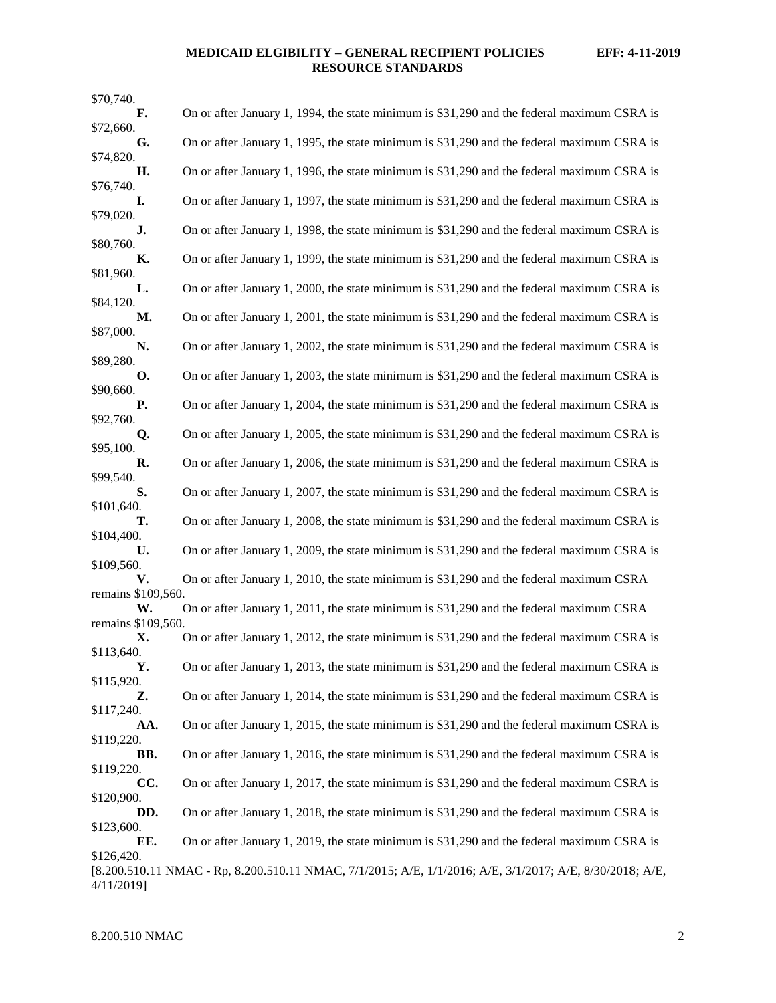## **MEDICAID ELGIBILITY – GENERAL RECIPIENT POLICIES EFF: 4-11-2019 RESOURCE STANDARDS**

| \$70,740.                |                                                                                                          |
|--------------------------|----------------------------------------------------------------------------------------------------------|
| F.<br>\$72,660.          | On or after January 1, 1994, the state minimum is \$31,290 and the federal maximum CSRA is               |
| G.<br>\$74,820.          | On or after January 1, 1995, the state minimum is \$31,290 and the federal maximum CSRA is               |
| Н.                       | On or after January 1, 1996, the state minimum is \$31,290 and the federal maximum CSRA is               |
| \$76,740.<br>I.          | On or after January 1, 1997, the state minimum is \$31,290 and the federal maximum CSRA is               |
| \$79,020.<br>J.          | On or after January 1, 1998, the state minimum is \$31,290 and the federal maximum CSRA is               |
| \$80,760.                |                                                                                                          |
| К.<br>\$81,960.          | On or after January 1, 1999, the state minimum is \$31,290 and the federal maximum CSRA is               |
| L.<br>\$84,120.          | On or after January 1, 2000, the state minimum is \$31,290 and the federal maximum CSRA is               |
| М.                       | On or after January 1, 2001, the state minimum is \$31,290 and the federal maximum CSRA is               |
| \$87,000.<br>N.          | On or after January 1, 2002, the state minimum is \$31,290 and the federal maximum CSRA is               |
| \$89,280.<br>O.          | On or after January 1, 2003, the state minimum is \$31,290 and the federal maximum CSRA is               |
| \$90,660.                |                                                                                                          |
| <b>P.</b><br>\$92,760.   | On or after January 1, 2004, the state minimum is \$31,290 and the federal maximum CSRA is               |
| Q.<br>\$95,100.          | On or after January 1, 2005, the state minimum is \$31,290 and the federal maximum CSRA is               |
| R.                       | On or after January 1, 2006, the state minimum is \$31,290 and the federal maximum CSRA is               |
| \$99,540.<br>S.          | On or after January 1, 2007, the state minimum is \$31,290 and the federal maximum CSRA is               |
| \$101,640.<br>т.         | On or after January 1, 2008, the state minimum is \$31,290 and the federal maximum CSRA is               |
| \$104,400.               |                                                                                                          |
| U.<br>\$109,560.         | On or after January 1, 2009, the state minimum is \$31,290 and the federal maximum CSRA is               |
| V.<br>remains \$109,560. | On or after January 1, 2010, the state minimum is \$31,290 and the federal maximum CSRA                  |
| W.                       | On or after January 1, 2011, the state minimum is \$31,290 and the federal maximum CSRA                  |
| remains \$109,560.<br>Х. | On or after January 1, 2012, the state minimum is \$31,290 and the federal maximum CSRA is               |
| \$113,640.<br>Y.         | On or after January 1, 2013, the state minimum is \$31,290 and the federal maximum CSRA is               |
| \$115,920.               | On or after January 1, 2014, the state minimum is \$31,290 and the federal maximum CSRA is               |
| Z.<br>\$117,240.         |                                                                                                          |
| AA.<br>\$119,220.        | On or after January 1, 2015, the state minimum is \$31,290 and the federal maximum CSRA is               |
| BB.                      | On or after January 1, 2016, the state minimum is \$31,290 and the federal maximum CSRA is               |
| \$119,220.<br>CC.        | On or after January 1, 2017, the state minimum is \$31,290 and the federal maximum CSRA is               |
| \$120,900.<br>DD.        | On or after January 1, 2018, the state minimum is \$31,290 and the federal maximum CSRA is               |
| \$123,600.               |                                                                                                          |
| EE.<br>\$126,420.        | On or after January 1, 2019, the state minimum is \$31,290 and the federal maximum CSRA is               |
| 4/11/2019]               | [8.200.510.11 NMAC - Rp, 8.200.510.11 NMAC, 7/1/2015; A/E, 1/1/2016; A/E, 3/1/2017; A/E, 8/30/2018; A/E, |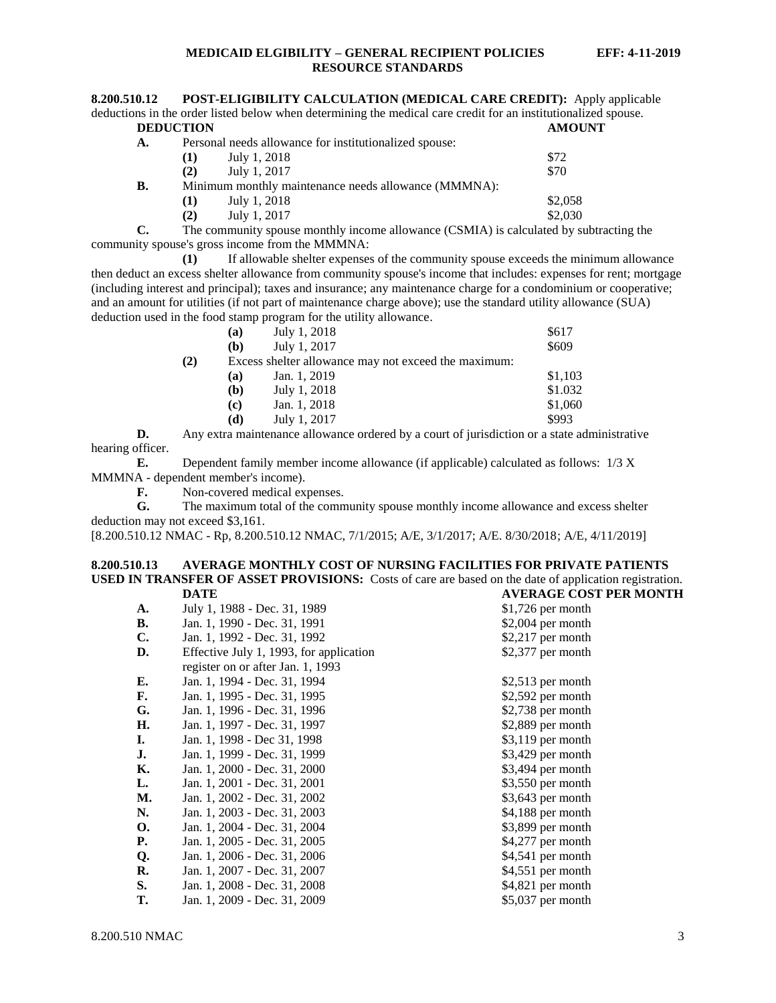<span id="page-3-0"></span>

| 8.200.510.12     | <b>POST-ELIGIBILITY CALCULATION (MEDICAL CARE CREDIT):</b> Apply applicable                                    |               |
|------------------|----------------------------------------------------------------------------------------------------------------|---------------|
|                  | deductions in the order listed below when determining the medical care credit for an institutionalized spouse. |               |
| <b>DEDUCTION</b> |                                                                                                                | <b>AMOUNT</b> |
|                  | $\mathcal{D}$ 1 1 11 $\mathcal{C}$ , $\mathcal{C}$ 1 1 1                                                       |               |

| A. |                                                      | Personal needs allowance for institutionalized spouse: |         |  |
|----|------------------------------------------------------|--------------------------------------------------------|---------|--|
|    | (1)                                                  | July 1, 2018                                           | \$72    |  |
|    | (2)                                                  | July 1, 2017                                           | \$70    |  |
| В. | Minimum monthly maintenance needs allowance (MMMNA): |                                                        |         |  |
|    | (1)                                                  | July 1, 2018                                           | \$2,058 |  |
|    | (2)                                                  | July 1, 2017                                           | \$2,030 |  |
|    |                                                      |                                                        |         |  |

**C.** The community spouse monthly income allowance (CSMIA) is calculated by subtracting the community spouse's gross income from the MMMNA:

**(1)** If allowable shelter expenses of the community spouse exceeds the minimum allowance then deduct an excess shelter allowance from community spouse's income that includes: expenses for rent; mortgage (including interest and principal); taxes and insurance; any maintenance charge for a condominium or cooperative; and an amount for utilities (if not part of maintenance charge above); use the standard utility allowance (SUA) deduction used in the food stamp program for the utility allowance.

|     | (a) | July 1, 2018                                         | \$617   |
|-----|-----|------------------------------------------------------|---------|
|     | (b) | July 1, 2017                                         | \$609   |
| (2) |     | Excess shelter allowance may not exceed the maximum: |         |
|     | (a) | Jan. 1, 2019                                         | \$1,103 |
|     | (b) | July 1, 2018                                         | \$1.032 |
|     | (c) | Jan. 1, 2018                                         | \$1,060 |
|     | (d) | July 1, 2017                                         | \$993   |

**D.** Any extra maintenance allowance ordered by a court of jurisdiction or a state administrative hearing officer.

**E.** Dependent family member income allowance (if applicable) calculated as follows: 1/3 X MMMNA - dependent member's income).

**F.** Non-covered medical expenses.

**G.** The maximum total of the community spouse monthly income allowance and excess shelter deduction may not exceed \$3,161.

[8.200.510.12 NMAC - Rp, 8.200.510.12 NMAC, 7/1/2015; A/E, 3/1/2017; A/E. 8/30/2018; A/E, 4/11/2019]

#### <span id="page-3-1"></span>**8.200.510.13 AVERAGE MONTHLY COST OF NURSING FACILITIES FOR PRIVATE PATIENTS USED IN TRANSFER OF ASSET PROVISIONS:** Costs of care are based on the date of application registration.<br>DATE AVERAGE COST PER MONTH **DATE AVERAGE COST PER MONTH**

|                                         | , LIVIOL CODI      |
|-----------------------------------------|--------------------|
| July 1, 1988 - Dec. 31, 1989            | $$1,726$ per month |
| Jan. 1, 1990 - Dec. 31, 1991            | $$2,004$ per month |
| Jan. 1, 1992 - Dec. 31, 1992            | $$2,217$ per month |
| Effective July 1, 1993, for application | \$2,377 per month  |
| register on or after Jan. 1, 1993       |                    |
| Jan. 1, 1994 - Dec. 31, 1994            | $$2,513$ per month |
| Jan. 1, 1995 - Dec. 31, 1995            | $$2,592$ per month |
| Jan. 1, 1996 - Dec. 31, 1996            | $$2,738$ per month |
| Jan. 1, 1997 - Dec. 31, 1997            | $$2,889$ per month |
| Jan. 1, 1998 - Dec 31, 1998             | \$3,119 per month  |
| Jan. 1, 1999 - Dec. 31, 1999            | $$3,429$ per month |
| Jan. 1, 2000 - Dec. 31, 2000            | \$3,494 per month  |
| Jan. 1, 2001 - Dec. 31, 2001            | $$3,550$ per month |
| Jan. 1, 2002 - Dec. 31, 2002            | $$3,643$ per month |
| Jan. 1, 2003 - Dec. 31, 2003            | \$4,188 per month  |
| Jan. 1, 2004 - Dec. 31, 2004            | \$3,899 per month  |
| Jan. 1, 2005 - Dec. 31, 2005            | \$4,277 per month  |
| Jan. 1, 2006 - Dec. 31, 2006            | \$4,541 per month  |
| Jan. 1, 2007 - Dec. 31, 2007            | $$4,551$ per month |
| Jan. 1, 2008 - Dec. 31, 2008            | \$4,821 per month  |
| Jan. 1, 2009 - Dec. 31, 2009            | $$5,037$ per month |
|                                         |                    |